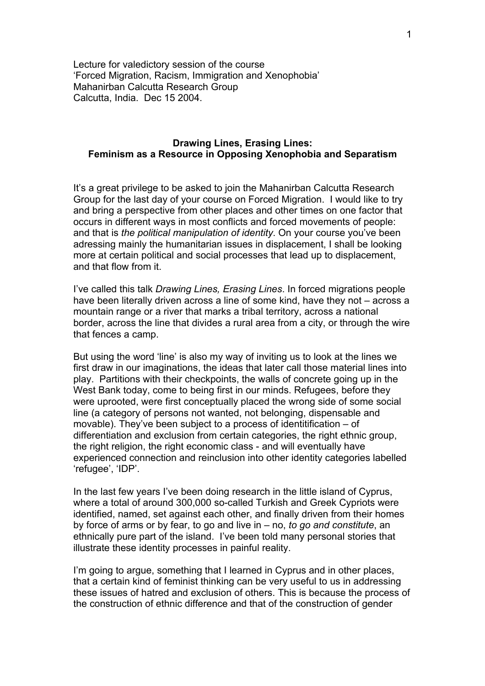Lecture for valedictory session of the course 'Forced Migration, Racism, Immigration and Xenophobia' Mahanirban Calcutta Research Group Calcutta, India. Dec 15 2004.

### **Drawing Lines, Erasing Lines: Feminism as a Resource in Opposing Xenophobia and Separatism**

It's a great privilege to be asked to join the Mahanirban Calcutta Research Group for the last day of your course on Forced Migration. I would like to try and bring a perspective from other places and other times on one factor that occurs in different ways in most conflicts and forced movements of people: and that is *the political manipulation of identity*. On your course you've been adressing mainly the humanitarian issues in displacement, I shall be looking more at certain political and social processes that lead up to displacement, and that flow from it.

I've called this talk *Drawing Lines, Erasing Lines*. In forced migrations people have been literally driven across a line of some kind, have they not – across a mountain range or a river that marks a tribal territory, across a national border, across the line that divides a rural area from a city, or through the wire that fences a camp.

But using the word 'line' is also my way of inviting us to look at the lines we first draw in our imaginations, the ideas that later call those material lines into play. Partitions with their checkpoints, the walls of concrete going up in the West Bank today, come to being first in our minds. Refugees, before they were uprooted, were first conceptually placed the wrong side of some social line (a category of persons not wanted, not belonging, dispensable and movable). They've been subject to a process of identitification – of differentiation and exclusion from certain categories, the right ethnic group, the right religion, the right economic class - and will eventually have experienced connection and reinclusion into other identity categories labelled 'refugee', 'IDP'.

In the last few years I've been doing research in the little island of Cyprus, where a total of around 300,000 so-called Turkish and Greek Cypriots were identified, named, set against each other, and finally driven from their homes by force of arms or by fear, to go and live in – no, *to go and constitute*, an ethnically pure part of the island. I've been told many personal stories that illustrate these identity processes in painful reality.

I'm going to argue, something that I learned in Cyprus and in other places, that a certain kind of feminist thinking can be very useful to us in addressing these issues of hatred and exclusion of others. This is because the process of the construction of ethnic difference and that of the construction of gender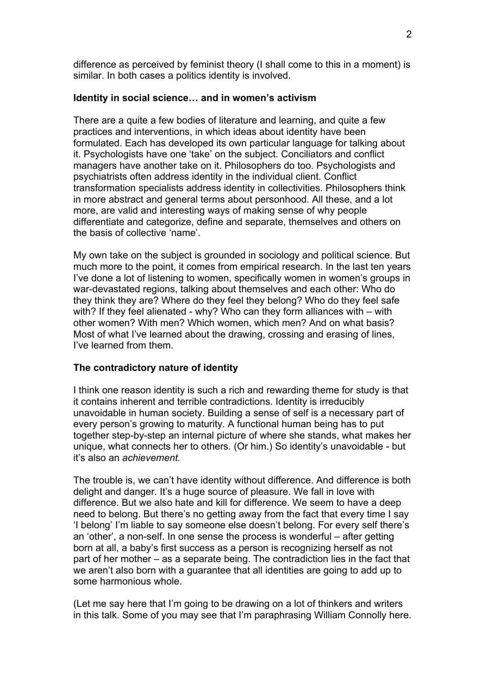difference as perceived by feminist theory (I shall come to this in a moment) is similar. In both cases a politics identity is involved.

# **Identity in social science… and in women's activism**

There are a quite a few bodies of literature and learning, and quite a few practices and interventions, in which ideas about identity have been formulated. Each has developed its own particular language for talking about it. Psychologists have one 'take' on the subject. Conciliators and conflict managers have another take on it. Philosophers do too. Psychologists and psychiatrists often address identity in the individual client. Conflict transformation specialists address identity in collectivities. Philosophers think in more abstract and general terms about personhood. All these, and a lot more, are valid and interesting ways of making sense of why people differentiate and categorize, define and separate, themselves and others on the basis of collective 'name'.

My own take on the subject is grounded in sociology and political science. But much more to the point, it comes from empirical research. In the last ten years I've done a lot of listening to women, specifically women in women's groups in war-devastated regions, talking about themselves and each other: Who do they think they are? Where do they feel they belong? Who do they feel safe with? If they feel alienated - why? Who can they form alliances with – with other women? With men? Which women, which men? And on what basis? Most of what I've learned about the drawing, crossing and erasing of lines, I've learned from them.

# **The contradictory nature of identity**

I think one reason identity is such a rich and rewarding theme for study is that it contains inherent and terrible contradictions. Identity is irreducibly unavoidable in human society. Building a sense of self is a necessary part of every person's growing to maturity. A functional human being has to put together step-by-step an internal picture of where she stands, what makes her unique, what connects her to others. (Or him.) So identity's unavoidable - but it's also an *achievement.* 

The trouble is, we can't have identity without difference. And difference is both delight and danger. It's a huge source of pleasure. We fall in love with difference. But we also hate and kill for difference. We seem to have a deep need to belong. But there's no getting away from the fact that every time I say 'I belong' I'm liable to say someone else doesn't belong. For every self there's an 'other', a non-self. In one sense the process is wonderful – after getting born at all, a baby's first success as a person is recognizing herself as not part of her mother – as a separate being. The contradiction lies in the fact that we aren't also born with a guarantee that all identities are going to add up to some harmonious whole.

(Let me say here that I'm going to be drawing on a lot of thinkers and writers in this talk. Some of you may see that I'm paraphrasing William Connolly here.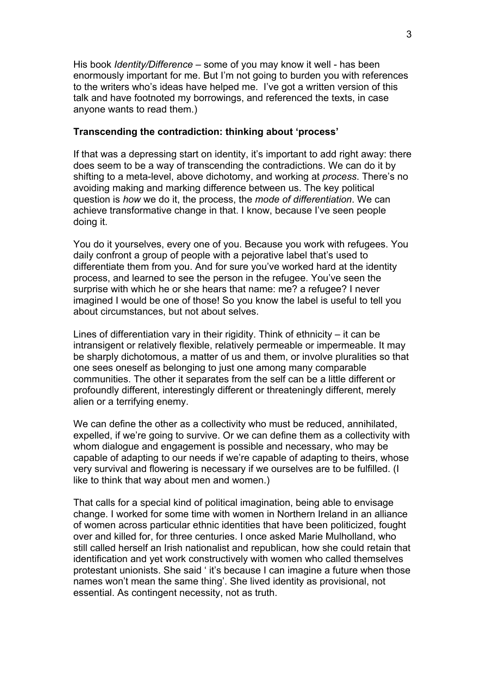His book *Identity/Difference* – some of you may know it well - has been enormously important for me. But I'm not going to burden you with references to the writers who's ideas have helped me. I've got a written version of this talk and have footnoted my borrowings, and referenced the texts, in case anyone wants to read them.)

# **Transcending the contradiction: thinking about 'process'**

If that was a depressing start on identity, it's important to add right away: there does seem to be a way of transcending the contradictions. We can do it by shifting to a meta-level, above dichotomy, and working at *process*. There's no avoiding making and marking difference between us. The key political question is *how* we do it, the process, the *mode of differentiation*. We can achieve transformative change in that. I know, because I've seen people doing it.

You do it yourselves, every one of you. Because you work with refugees. You daily confront a group of people with a pejorative label that's used to differentiate them from you. And for sure you've worked hard at the identity process, and learned to see the person in the refugee. You've seen the surprise with which he or she hears that name: me? a refugee? I never imagined I would be one of those! So you know the label is useful to tell you about circumstances, but not about selves.

Lines of differentiation vary in their rigidity. Think of ethnicity – it can be intransigent or relatively flexible, relatively permeable or impermeable. It may be sharply dichotomous, a matter of us and them, or involve pluralities so that one sees oneself as belonging to just one among many comparable communities. The other it separates from the self can be a little different or profoundly different, interestingly different or threateningly different, merely alien or a terrifying enemy.

We can define the other as a collectivity who must be reduced, annihilated, expelled, if we're going to survive. Or we can define them as a collectivity with whom dialogue and engagement is possible and necessary, who may be capable of adapting to our needs if we're capable of adapting to theirs, whose very survival and flowering is necessary if we ourselves are to be fulfilled. (I like to think that way about men and women.)

That calls for a special kind of political imagination, being able to envisage change. I worked for some time with women in Northern Ireland in an alliance of women across particular ethnic identities that have been politicized, fought over and killed for, for three centuries. I once asked Marie Mulholland, who still called herself an Irish nationalist and republican, how she could retain that identification and yet work constructively with women who called themselves protestant unionists. She said ' it's because I can imagine a future when those names won't mean the same thing'. She lived identity as provisional, not essential. As contingent necessity, not as truth.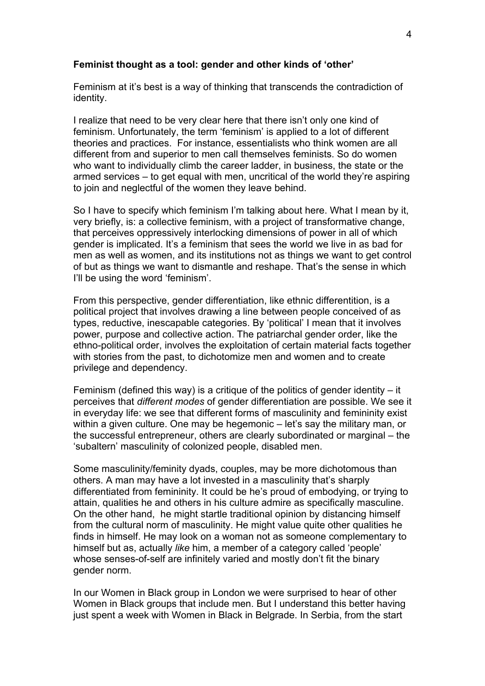# **Feminist thought as a tool: gender and other kinds of 'other'**

Feminism at it's best is a way of thinking that transcends the contradiction of identity.

I realize that need to be very clear here that there isn't only one kind of feminism. Unfortunately, the term 'feminism' is applied to a lot of different theories and practices. For instance, essentialists who think women are all different from and superior to men call themselves feminists. So do women who want to individually climb the career ladder, in business, the state or the armed services – to get equal with men, uncritical of the world they're aspiring to join and neglectful of the women they leave behind.

So I have to specify which feminism I'm talking about here. What I mean by it, very briefly, is: a collective feminism, with a project of transformative change, that perceives oppressively interlocking dimensions of power in all of which gender is implicated. It's a feminism that sees the world we live in as bad for men as well as women, and its institutions not as things we want to get control of but as things we want to dismantle and reshape. That's the sense in which I'll be using the word 'feminism'.

From this perspective, gender differentiation, like ethnic differentition, is a political project that involves drawing a line between people conceived of as types, reductive, inescapable categories. By 'political' I mean that it involves power, purpose and collective action. The patriarchal gender order, like the ethno-political order, involves the exploitation of certain material facts together with stories from the past, to dichotomize men and women and to create privilege and dependency.

Feminism (defined this way) is a critique of the politics of gender identity  $-$  it perceives that *different modes* of gender differentiation are possible. We see it in everyday life: we see that different forms of masculinity and femininity exist within a given culture. One may be hegemonic – let's say the military man, or the successful entrepreneur, others are clearly subordinated or marginal – the 'subaltern' masculinity of colonized people, disabled men.

Some masculinity/feminity dyads, couples, may be more dichotomous than others. A man may have a lot invested in a masculinity that's sharply differentiated from femininity. It could be he's proud of embodying, or trying to attain, qualities he and others in his culture admire as specifically masculine. On the other hand, he might startle traditional opinion by distancing himself from the cultural norm of masculinity. He might value quite other qualities he finds in himself. He may look on a woman not as someone complementary to himself but as, actually *like* him, a member of a category called 'people' whose senses-of-self are infinitely varied and mostly don't fit the binary gender norm.

In our Women in Black group in London we were surprised to hear of other Women in Black groups that include men. But I understand this better having just spent a week with Women in Black in Belgrade. In Serbia, from the start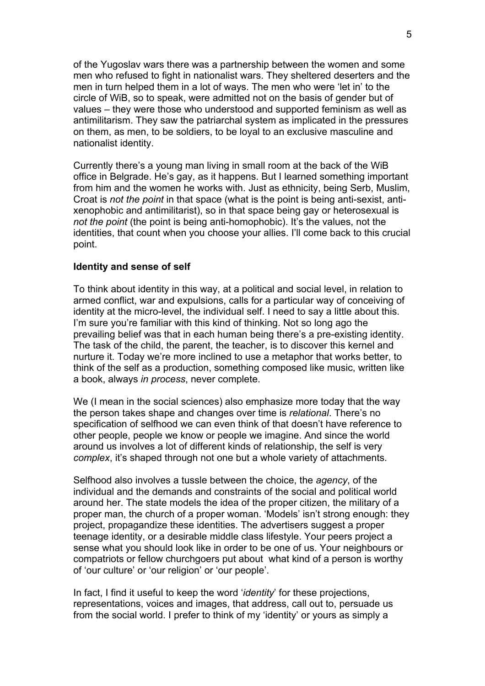of the Yugoslav wars there was a partnership between the women and some men who refused to fight in nationalist wars. They sheltered deserters and the men in turn helped them in a lot of ways. The men who were 'let in' to the circle of WiB, so to speak, were admitted not on the basis of gender but of values – they were those who understood and supported feminism as well as antimilitarism. They saw the patriarchal system as implicated in the pressures on them, as men, to be soldiers, to be loyal to an exclusive masculine and nationalist identity.

Currently there's a young man living in small room at the back of the WiB office in Belgrade. He's gay, as it happens. But I learned something important from him and the women he works with. Just as ethnicity, being Serb, Muslim, Croat is *not the point* in that space (what is the point is being anti-sexist, antixenophobic and antimilitarist), so in that space being gay or heterosexual is *not the point* (the point is being anti-homophobic). It's the values, not the identities, that count when you choose your allies. I'll come back to this crucial point.

### **Identity and sense of self**

To think about identity in this way, at a political and social level, in relation to armed conflict, war and expulsions, calls for a particular way of conceiving of identity at the micro-level, the individual self. I need to say a little about this. I'm sure you're familiar with this kind of thinking. Not so long ago the prevailing belief was that in each human being there's a pre-existing identity. The task of the child, the parent, the teacher, is to discover this kernel and nurture it. Today we're more inclined to use a metaphor that works better, to think of the self as a production, something composed like music, written like a book, always *in process*, never complete.

We (I mean in the social sciences) also emphasize more today that the way the person takes shape and changes over time is *relational*. There's no specification of selfhood we can even think of that doesn't have reference to other people, people we know or people we imagine. And since the world around us involves a lot of different kinds of relationship, the self is very *complex*, it's shaped through not one but a whole variety of attachments.

Selfhood also involves a tussle between the choice, the *agency*, of the individual and the demands and constraints of the social and political world around her. The state models the idea of the proper citizen, the military of a proper man, the church of a proper woman. 'Models' isn't strong enough: they project, propagandize these identities. The advertisers suggest a proper teenage identity, or a desirable middle class lifestyle. Your peers project a sense what you should look like in order to be one of us. Your neighbours or compatriots or fellow churchgoers put about what kind of a person is worthy of 'our culture' or 'our religion' or 'our people'.

In fact, I find it useful to keep the word '*identity*' for these projections, representations, voices and images, that address, call out to, persuade us from the social world. I prefer to think of my 'identity' or yours as simply a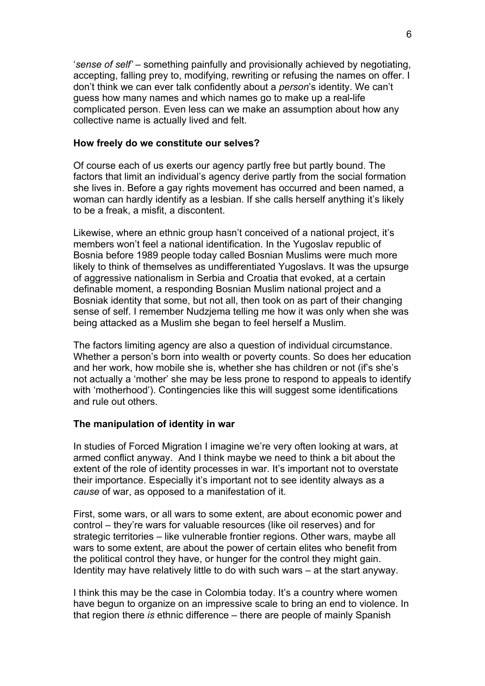'*sense of self'* – something painfully and provisionally achieved by negotiating, accepting, falling prey to, modifying, rewriting or refusing the names on offer. I don't think we can ever talk confidently about a *person*'s identity. We can't guess how many names and which names go to make up a real-life complicated person. Even less can we make an assumption about how any collective name is actually lived and felt.

# **How freely do we constitute our selves?**

Of course each of us exerts our agency partly free but partly bound. The factors that limit an individual's agency derive partly from the social formation she lives in. Before a gay rights movement has occurred and been named, a woman can hardly identify as a lesbian. If she calls herself anything it's likely to be a freak, a misfit, a discontent.

Likewise, where an ethnic group hasn't conceived of a national project, it's members won't feel a national identification. In the Yugoslav republic of Bosnia before 1989 people today called Bosnian Muslims were much more likely to think of themselves as undifferentiated Yugoslavs. It was the upsurge of aggressive nationalism in Serbia and Croatia that evoked, at a certain definable moment, a responding Bosnian Muslim national project and a Bosniak identity that some, but not all, then took on as part of their changing sense of self. I remember Nudzjema telling me how it was only when she was being attacked as a Muslim she began to feel herself a Muslim.

The factors limiting agency are also a question of individual circumstance. Whether a person's born into wealth or poverty counts. So does her education and her work, how mobile she is, whether she has children or not (if's she's not actually a 'mother' she may be less prone to respond to appeals to identify with 'motherhood'). Contingencies like this will suggest some identifications and rule out others.

# **The manipulation of identity in war**

In studies of Forced Migration I imagine we're very often looking at wars, at armed conflict anyway. And I think maybe we need to think a bit about the extent of the role of identity processes in war. It's important not to overstate their importance. Especially it's important not to see identity always as a *cause* of war, as opposed to a manifestation of it.

First, some wars, or all wars to some extent, are about economic power and control – they're wars for valuable resources (like oil reserves) and for strategic territories – like vulnerable frontier regions. Other wars, maybe all wars to some extent, are about the power of certain elites who benefit from the political control they have, or hunger for the control they might gain. Identity may have relatively little to do with such wars – at the start anyway.

I think this may be the case in Colombia today. It's a country where women have begun to organize on an impressive scale to bring an end to violence. In that region there *is* ethnic difference – there are people of mainly Spanish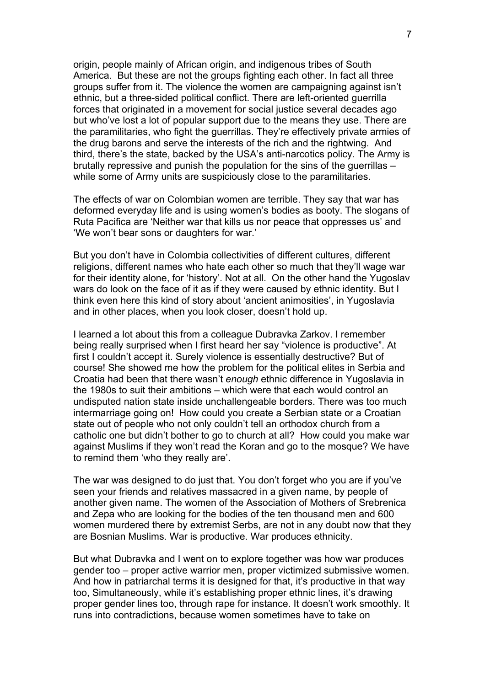origin, people mainly of African origin, and indigenous tribes of South America. But these are not the groups fighting each other. In fact all three groups suffer from it. The violence the women are campaigning against isn't ethnic, but a three-sided political conflict. There are left-oriented guerrilla forces that originated in a movement for social justice several decades ago but who've lost a lot of popular support due to the means they use. There are the paramilitaries, who fight the guerrillas. They're effectively private armies of the drug barons and serve the interests of the rich and the rightwing. And third, there's the state, backed by the USA's anti-narcotics policy. The Army is brutally repressive and punish the population for the sins of the guerrillas – while some of Army units are suspiciously close to the paramilitaries.

The effects of war on Colombian women are terrible. They say that war has deformed everyday life and is using women's bodies as booty. The slogans of Ruta Pacifica are 'Neither war that kills us nor peace that oppresses us' and 'We won't bear sons or daughters for war.'

But you don't have in Colombia collectivities of different cultures, different religions, different names who hate each other so much that they'll wage war for their identity alone, for 'history'. Not at all. On the other hand the Yugoslav wars do look on the face of it as if they were caused by ethnic identity. But I think even here this kind of story about 'ancient animosities', in Yugoslavia and in other places, when you look closer, doesn't hold up.

I learned a lot about this from a colleague Dubravka Zarkov. I remember being really surprised when I first heard her say "violence is productive". At first I couldn't accept it. Surely violence is essentially destructive? But of course! She showed me how the problem for the political elites in Serbia and Croatia had been that there wasn't *enough* ethnic difference in Yugoslavia in the 1980s to suit their ambitions – which were that each would control an undisputed nation state inside unchallengeable borders. There was too much intermarriage going on! How could you create a Serbian state or a Croatian state out of people who not only couldn't tell an orthodox church from a catholic one but didn't bother to go to church at all? How could you make war against Muslims if they won't read the Koran and go to the mosque? We have to remind them 'who they really are'.

The war was designed to do just that. You don't forget who you are if you've seen your friends and relatives massacred in a given name, by people of another given name. The women of the Association of Mothers of Srebrenica and Zepa who are looking for the bodies of the ten thousand men and 600 women murdered there by extremist Serbs, are not in any doubt now that they are Bosnian Muslims. War is productive. War produces ethnicity.

But what Dubravka and I went on to explore together was how war produces gender too – proper active warrior men, proper victimized submissive women. And how in patriarchal terms it is designed for that, it's productive in that way too, Simultaneously, while it's establishing proper ethnic lines, it's drawing proper gender lines too, through rape for instance. It doesn't work smoothly. It runs into contradictions, because women sometimes have to take on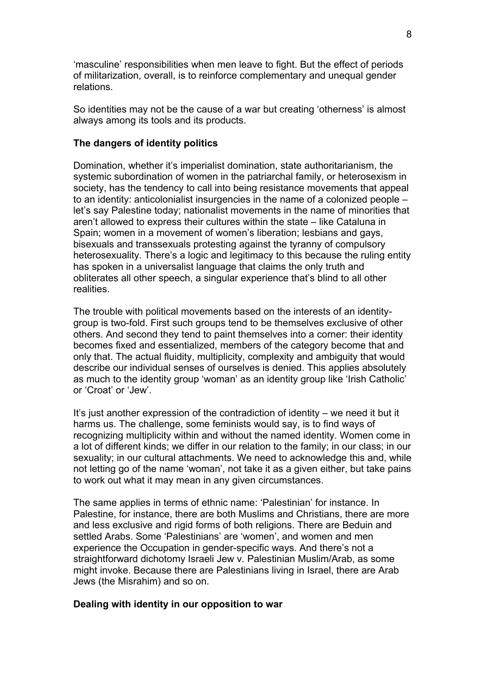'masculine' responsibilities when men leave to fight. But the effect of periods of militarization, overall, is to reinforce complementary and unequal gender relations.

So identities may not be the cause of a war but creating 'otherness' is almost always among its tools and its products.

# **The dangers of identity politics**

Domination, whether it's imperialist domination, state authoritarianism, the systemic subordination of women in the patriarchal family, or heterosexism in society, has the tendency to call into being resistance movements that appeal to an identity: anticolonialist insurgencies in the name of a colonized people – let's say Palestine today; nationalist movements in the name of minorities that aren't allowed to express their cultures within the state – like Cataluna in Spain; women in a movement of women's liberation; lesbians and gays, bisexuals and transsexuals protesting against the tyranny of compulsory heterosexuality. There's a logic and legitimacy to this because the ruling entity has spoken in a universalist language that claims the only truth and obliterates all other speech, a singular experience that's blind to all other realities.

The trouble with political movements based on the interests of an identitygroup is two-fold. First such groups tend to be themselves exclusive of other others. And second they tend to paint themselves into a corner: their identity becomes fixed and essentialized, members of the category become that and only that. The actual fluidity, multiplicity, complexity and ambiguity that would describe our individual senses of ourselves is denied. This applies absolutely as much to the identity group 'woman' as an identity group like 'Irish Catholic' or 'Croat' or 'Jew'.

It's just another expression of the contradiction of identity – we need it but it harms us. The challenge, some feminists would say, is to find ways of recognizing multiplicity within and without the named identity. Women come in a lot of different kinds; we differ in our relation to the family; in our class; in our sexuality; in our cultural attachments. We need to acknowledge this and, while not letting go of the name 'woman', not take it as a given either, but take pains to work out what it may mean in any given circumstances.

The same applies in terms of ethnic name: 'Palestinian' for instance. In Palestine, for instance, there are both Muslims and Christians, there are more and less exclusive and rigid forms of both religions. There are Beduin and settled Arabs. Some 'Palestinians' are 'women', and women and men experience the Occupation in gender-specific ways. And there's not a straightforward dichotomy Israeli Jew v. Palestinian Muslim/Arab, as some might invoke. Because there are Palestinians living in Israel, there are Arab Jews (the Misrahim) and so on.

# **Dealing with identity in our opposition to war**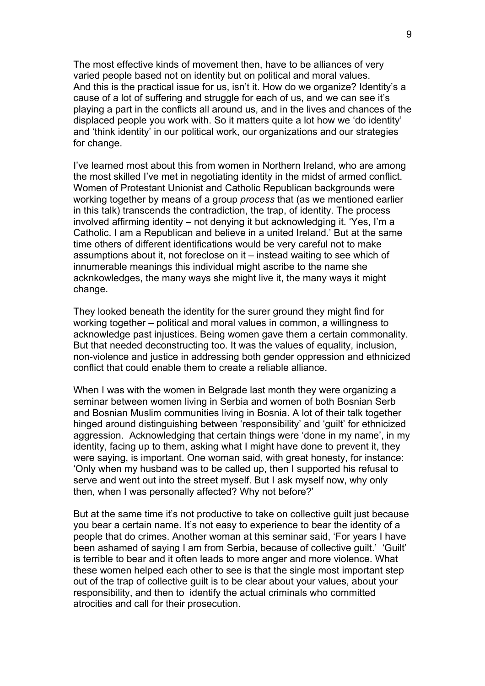The most effective kinds of movement then, have to be alliances of very varied people based not on identity but on political and moral values. And this is the practical issue for us, isn't it. How do we organize? Identity's a cause of a lot of suffering and struggle for each of us, and we can see it's playing a part in the conflicts all around us, and in the lives and chances of the displaced people you work with. So it matters quite a lot how we 'do identity' and 'think identity' in our political work, our organizations and our strategies for change.

I've learned most about this from women in Northern Ireland, who are among the most skilled I've met in negotiating identity in the midst of armed conflict. Women of Protestant Unionist and Catholic Republican backgrounds were working together by means of a group *process* that (as we mentioned earlier in this talk) transcends the contradiction, the trap, of identity. The process involved affirming identity – not denying it but acknowledging it. 'Yes, I'm a Catholic. I am a Republican and believe in a united Ireland.' But at the same time others of different identifications would be very careful not to make assumptions about it, not foreclose on it – instead waiting to see which of innumerable meanings this individual might ascribe to the name she acknkowledges, the many ways she might live it, the many ways it might change.

They looked beneath the identity for the surer ground they might find for working together – political and moral values in common, a willingness to acknowledge past injustices. Being women gave them a certain commonality. But that needed deconstructing too. It was the values of equality, inclusion, non-violence and justice in addressing both gender oppression and ethnicized conflict that could enable them to create a reliable alliance.

When I was with the women in Belgrade last month they were organizing a seminar between women living in Serbia and women of both Bosnian Serb and Bosnian Muslim communities living in Bosnia. A lot of their talk together hinged around distinguishing between 'responsibility' and 'guilt' for ethnicized aggression. Acknowledging that certain things were 'done in my name', in my identity, facing up to them, asking what I might have done to prevent it, they were saying, is important. One woman said, with great honesty, for instance: 'Only when my husband was to be called up, then I supported his refusal to serve and went out into the street myself. But I ask myself now, why only then, when I was personally affected? Why not before?'

But at the same time it's not productive to take on collective guilt just because you bear a certain name. It's not easy to experience to bear the identity of a people that do crimes. Another woman at this seminar said, 'For years I have been ashamed of saying I am from Serbia, because of collective guilt.' 'Guilt' is terrible to bear and it often leads to more anger and more violence. What these women helped each other to see is that the single most important step out of the trap of collective guilt is to be clear about your values, about your responsibility, and then to identify the actual criminals who committed atrocities and call for their prosecution.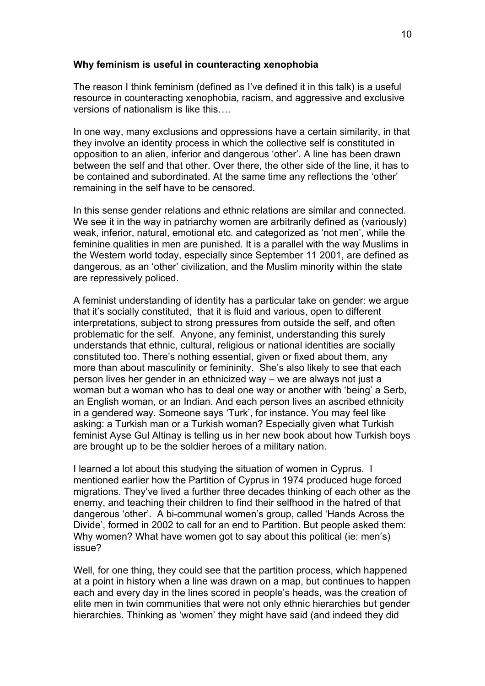# **Why feminism is useful in counteracting xenophobia**

The reason I think feminism (defined as I've defined it in this talk) is a useful resource in counteracting xenophobia, racism, and aggressive and exclusive versions of nationalism is like this….

In one way, many exclusions and oppressions have a certain similarity, in that they involve an identity process in which the collective self is constituted in opposition to an alien, inferior and dangerous 'other'. A line has been drawn between the self and that other. Over there, the other side of the line, it has to be contained and subordinated. At the same time any reflections the 'other' remaining in the self have to be censored.

In this sense gender relations and ethnic relations are similar and connected. We see it in the way in patriarchy women are arbitrarily defined as (variously) weak, inferior, natural, emotional etc. and categorized as 'not men', while the feminine qualities in men are punished. It is a parallel with the way Muslims in the Western world today, especially since September 11 2001, are defined as dangerous, as an 'other' civilization, and the Muslim minority within the state are repressively policed.

A feminist understanding of identity has a particular take on gender: we argue that it's socially constituted, that it is fluid and various, open to different interpretations, subject to strong pressures from outside the self, and often problematic for the self. Anyone, any feminist, understanding this surely understands that ethnic, cultural, religious or national identities are socially constituted too. There's nothing essential, given or fixed about them, any more than about masculinity or femininity. She's also likely to see that each person lives her gender in an ethnicized way – we are always not just a woman but a woman who has to deal one way or another with 'being' a Serb, an English woman, or an Indian. And each person lives an ascribed ethnicity in a gendered way. Someone says 'Turk', for instance. You may feel like asking: a Turkish man or a Turkish woman? Especially given what Turkish feminist Ayse Gul Altinay is telling us in her new book about how Turkish boys are brought up to be the soldier heroes of a military nation.

I learned a lot about this studying the situation of women in Cyprus. I mentioned earlier how the Partition of Cyprus in 1974 produced huge forced migrations. They've lived a further three decades thinking of each other as the enemy, and teaching their children to find their selfhood in the hatred of that dangerous 'other'. A bi-communal women's group, called 'Hands Across the Divide', formed in 2002 to call for an end to Partition. But people asked them: Why women? What have women got to say about this political (ie: men's) issue?

Well, for one thing, they could see that the partition process, which happened at a point in history when a line was drawn on a map, but continues to happen each and every day in the lines scored in people's heads, was the creation of elite men in twin communities that were not only ethnic hierarchies but gender hierarchies. Thinking as 'women' they might have said (and indeed they did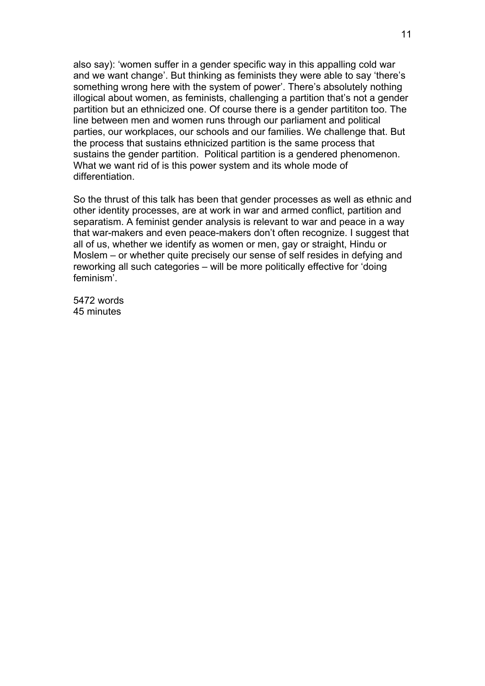also say): 'women suffer in a gender specific way in this appalling cold war and we want change'. But thinking as feminists they were able to say 'there's something wrong here with the system of power'. There's absolutely nothing illogical about women, as feminists, challenging a partition that's not a gender partition but an ethnicized one. Of course there is a gender partititon too. The line between men and women runs through our parliament and political parties, our workplaces, our schools and our families. We challenge that. But the process that sustains ethnicized partition is the same process that sustains the gender partition. Political partition is a gendered phenomenon. What we want rid of is this power system and its whole mode of differentiation.

So the thrust of this talk has been that gender processes as well as ethnic and other identity processes, are at work in war and armed conflict, partition and separatism. A feminist gender analysis is relevant to war and peace in a way that war-makers and even peace-makers don't often recognize. I suggest that all of us, whether we identify as women or men, gay or straight, Hindu or Moslem – or whether quite precisely our sense of self resides in defying and reworking all such categories – will be more politically effective for 'doing feminism'.

5472 words 45 minutes